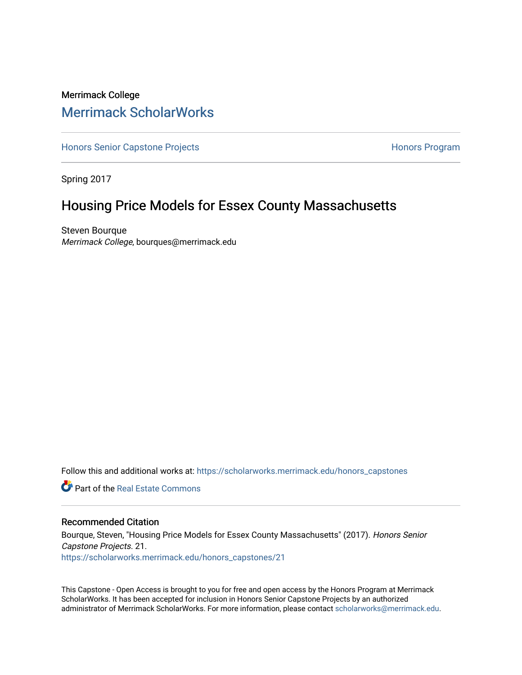# Merrimack College [Merrimack ScholarWorks](https://scholarworks.merrimack.edu/)

[Honors Senior Capstone Projects](https://scholarworks.merrimack.edu/honors_capstones) **Honors Program** Honors Program

Spring 2017

# Housing Price Models for Essex County Massachusetts

Steven Bourque Merrimack College, bourques@merrimack.edu

Follow this and additional works at: [https://scholarworks.merrimack.edu/honors\\_capstones](https://scholarworks.merrimack.edu/honors_capstones?utm_source=scholarworks.merrimack.edu%2Fhonors_capstones%2F21&utm_medium=PDF&utm_campaign=PDFCoverPages)

**C** Part of the Real Estate Commons

### Recommended Citation

Bourque, Steven, "Housing Price Models for Essex County Massachusetts" (2017). Honors Senior Capstone Projects. 21. [https://scholarworks.merrimack.edu/honors\\_capstones/21](https://scholarworks.merrimack.edu/honors_capstones/21?utm_source=scholarworks.merrimack.edu%2Fhonors_capstones%2F21&utm_medium=PDF&utm_campaign=PDFCoverPages) 

This Capstone - Open Access is brought to you for free and open access by the Honors Program at Merrimack ScholarWorks. It has been accepted for inclusion in Honors Senior Capstone Projects by an authorized administrator of Merrimack ScholarWorks. For more information, please contact [scholarworks@merrimack.edu](mailto:scholarworks@merrimack.edu).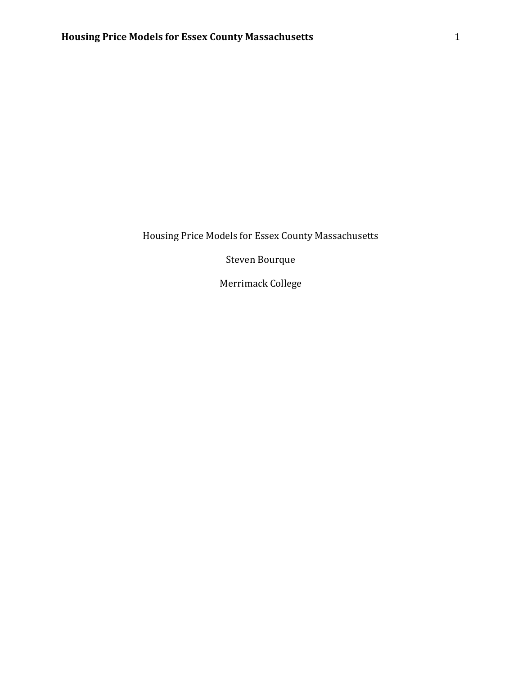Steven Bourque

Merrimack College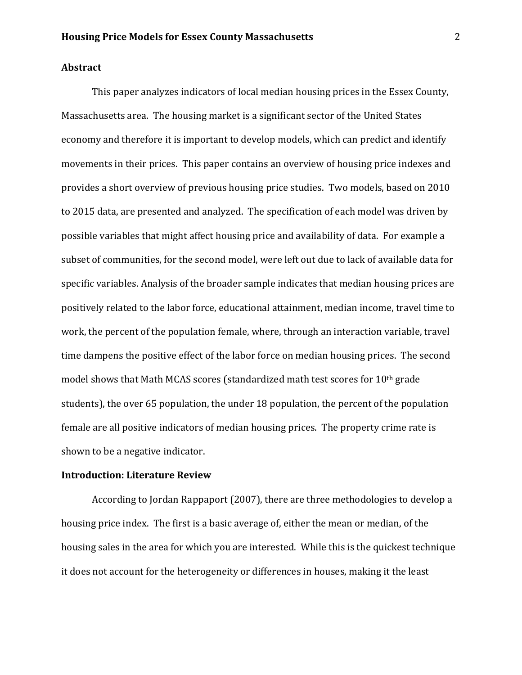## **Abstract**

This paper analyzes indicators of local median housing prices in the Essex County, Massachusetts area. The housing market is a significant sector of the United States economy and therefore it is important to develop models, which can predict and identify movements in their prices. This paper contains an overview of housing price indexes and provides a short overview of previous housing price studies. Two models, based on 2010 to 2015 data, are presented and analyzed. The specification of each model was driven by possible variables that might affect housing price and availability of data. For example a subset of communities, for the second model, were left out due to lack of available data for specific variables. Analysis of the broader sample indicates that median housing prices are positively related to the labor force, educational attainment, median income, travel time to work, the percent of the population female, where, through an interaction variable, travel time dampens the positive effect of the labor force on median housing prices. The second model shows that Math MCAS scores (standardized math test scores for 10th grade students), the over 65 population, the under 18 population, the percent of the population female are all positive indicators of median housing prices. The property crime rate is shown to be a negative indicator.

### **Introduction: Literature Review**

According to Jordan Rappaport (2007), there are three methodologies to develop a housing price index. The first is a basic average of, either the mean or median, of the housing sales in the area for which you are interested. While this is the quickest technique it does not account for the heterogeneity or differences in houses, making it the least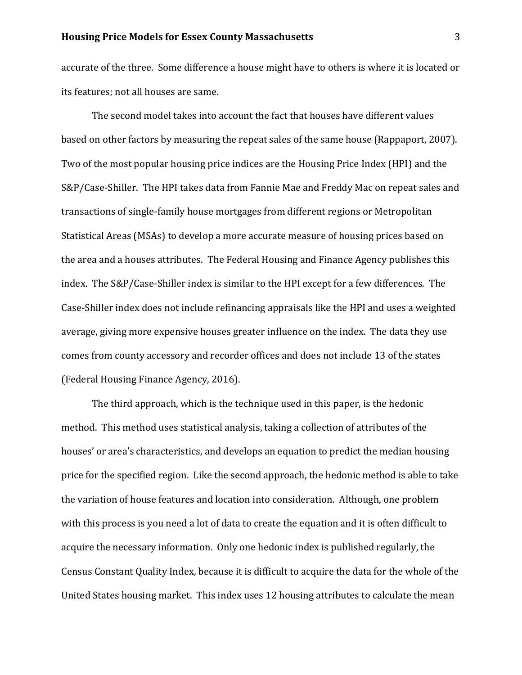accurate of the three. Some difference a house might have to others is where it is located or its features; not all houses are same.

The second model takes into account the fact that houses have different values based on other factors by measuring the repeat sales of the same house (Rappaport, 2007). Two of the most popular housing price indices are the Housing Price Index (HPI) and the S&P/Case-Shiller. The HPI takes data from Fannie Mae and Freddy Mac on repeat sales and transactions of single-family house mortgages from different regions or Metropolitan Statistical Areas (MSAs) to develop a more accurate measure of housing prices based on the area and a houses attributes. The Federal Housing and Finance Agency publishes this index. The S&P/Case-Shiller index is similar to the HPI except for a few differences. The Case-Shiller index does not include refinancing appraisals like the HPI and uses a weighted average, giving more expensive houses greater influence on the index. The data they use comes from county accessory and recorder offices and does not include 13 of the states (Federal Housing Finance Agency, 2016).

The third approach, which is the technique used in this paper, is the hedonic method. This method uses statistical analysis, taking a collection of attributes of the houses' or area's characteristics, and develops an equation to predict the median housing price for the specified region. Like the second approach, the hedonic method is able to take the variation of house features and location into consideration. Although, one problem with this process is you need a lot of data to create the equation and it is often difficult to acquire the necessary information. Only one hedonic index is published regularly, the Census Constant Quality Index, because it is difficult to acquire the data for the whole of the United States housing market. This index uses 12 housing attributes to calculate the mean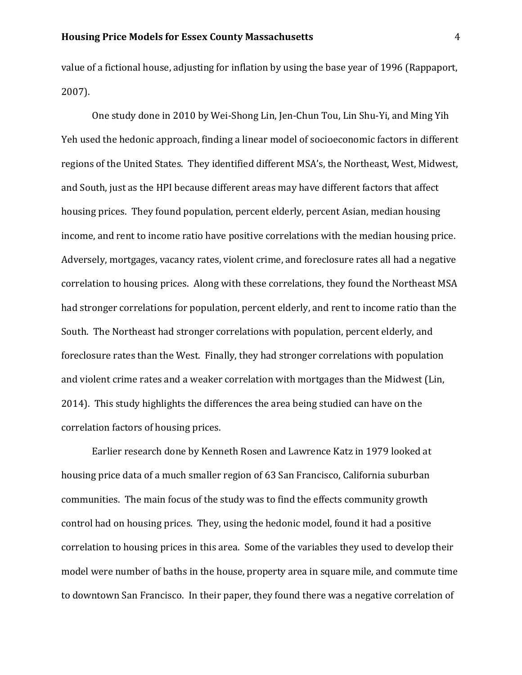value of a fictional house, adjusting for inflation by using the base year of 1996 (Rappaport, 2007).

One study done in 2010 by Wei-Shong Lin, Jen-Chun Tou, Lin Shu-Yi, and Ming Yih Yeh used the hedonic approach, finding a linear model of socioeconomic factors in different regions of the United States. They identified different MSA's, the Northeast, West, Midwest, and South, just as the HPI because different areas may have different factors that affect housing prices. They found population, percent elderly, percent Asian, median housing income, and rent to income ratio have positive correlations with the median housing price. Adversely, mortgages, vacancy rates, violent crime, and foreclosure rates all had a negative correlation to housing prices. Along with these correlations, they found the Northeast MSA had stronger correlations for population, percent elderly, and rent to income ratio than the South. The Northeast had stronger correlations with population, percent elderly, and foreclosure rates than the West. Finally, they had stronger correlations with population and violent crime rates and a weaker correlation with mortgages than the Midwest (Lin, 2014). This study highlights the differences the area being studied can have on the correlation factors of housing prices.

Earlier research done by Kenneth Rosen and Lawrence Katz in 1979 looked at housing price data of a much smaller region of 63 San Francisco, California suburban communities. The main focus of the study was to find the effects community growth control had on housing prices. They, using the hedonic model, found it had a positive correlation to housing prices in this area. Some of the variables they used to develop their model were number of baths in the house, property area in square mile, and commute time to downtown San Francisco. In their paper, they found there was a negative correlation of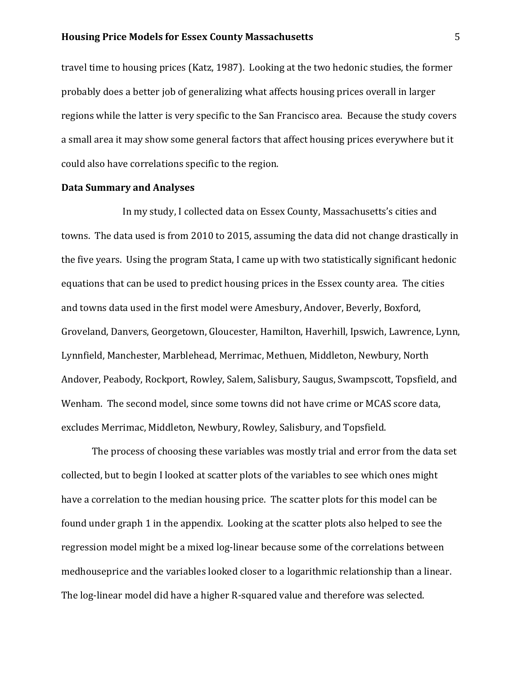travel time to housing prices (Katz, 1987). Looking at the two hedonic studies, the former probably does a better job of generalizing what affects housing prices overall in larger regions while the latter is very specific to the San Francisco area. Because the study covers a small area it may show some general factors that affect housing prices everywhere but it could also have correlations specific to the region.

## **Data Summary and Analyses**

In my study, I collected data on Essex County, Massachusetts's cities and towns. The data used is from 2010 to 2015, assuming the data did not change drastically in the five years. Using the program Stata, I came up with two statistically significant hedonic equations that can be used to predict housing prices in the Essex county area. The cities and towns data used in the first model were Amesbury, Andover, Beverly, Boxford, Groveland, Danvers, Georgetown, Gloucester, Hamilton, Haverhill, Ipswich, Lawrence, Lynn, Lynnfield, Manchester, Marblehead, Merrimac, Methuen, Middleton, Newbury, North Andover, Peabody, Rockport, Rowley, Salem, Salisbury, Saugus, Swampscott, Topsfield, and Wenham. The second model, since some towns did not have crime or MCAS score data, excludes Merrimac, Middleton, Newbury, Rowley, Salisbury, and Topsfield.

The process of choosing these variables was mostly trial and error from the data set collected, but to begin I looked at scatter plots of the variables to see which ones might have a correlation to the median housing price. The scatter plots for this model can be found under graph 1 in the appendix. Looking at the scatter plots also helped to see the regression model might be a mixed log-linear because some of the correlations between medhouseprice and the variables looked closer to a logarithmic relationship than a linear. The log-linear model did have a higher R-squared value and therefore was selected.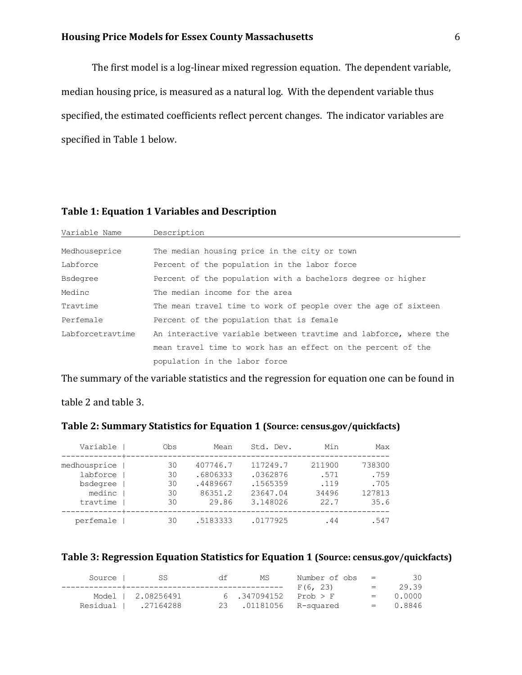The first model is a log-linear mixed regression equation. The dependent variable, median housing price, is measured as a natural log. With the dependent variable thus specified, the estimated coefficients reflect percent changes. The indicator variables are specified in Table 1 below.

## **Table 1: Equation 1 Variables and Description**

| Variable Name    | Description                                                      |
|------------------|------------------------------------------------------------------|
|                  |                                                                  |
| Medhouseprice    | The median housing price in the city or town                     |
| Labforce         | Percent of the population in the labor force                     |
| <b>Bsdegree</b>  | Percent of the population with a bachelors degree or higher      |
| Medinc           | The median income for the area                                   |
| Travtime         | The mean travel time to work of people over the age of sixteen   |
| Perfemale        | Percent of the population that is female                         |
| Labforcetravtime | An interactive variable between travtime and labforce, where the |
|                  | mean travel time to work has an effect on the percent of the     |
|                  | population in the labor force                                    |

The summary of the variable statistics and the regression for equation one can be found in

table 2 and table 3.

| Variable     | Obs | Mean     | Std. Dev. | Min    | Max    |
|--------------|-----|----------|-----------|--------|--------|
| medhousprice | 30  | 407746.7 | 117249.7  | 211900 | 738300 |
| labforce     | 30  | .6806333 | .0362876  | .571   | .759   |
| bsdegree     | 30  | .4489667 | .1565359  | .119   | .705   |
| medinc       | 30  | 86351.2  | 23647.04  | 34496  | 127813 |
| travtime     | 30  | 29.86    | 3.148026  | 22.7   | 35.6   |
| perfemale    | 30  | .5183333 | .0177925  | . 44   | .547   |

# **Table 2: Summary Statistics for Equation 1 (Source: census.gov/quickfacts)**

# **Table 3: Regression Equation Statistics for Equation 1 (Source: census.gov/quickfacts)**

| Source | -SS                  | df | МS                     | Number of $obs =$ |         | 30         |
|--------|----------------------|----|------------------------|-------------------|---------|------------|
|        |                      |    |                        | F(6, 23)          | $=$ $-$ | 29.39      |
|        | Model   2.08256491   |    | 6.347094152            | Prob > F          |         | $= 0.0000$ |
|        | Residual   .27164288 |    | 23 .01181056 R-squared |                   |         | $= 0.8846$ |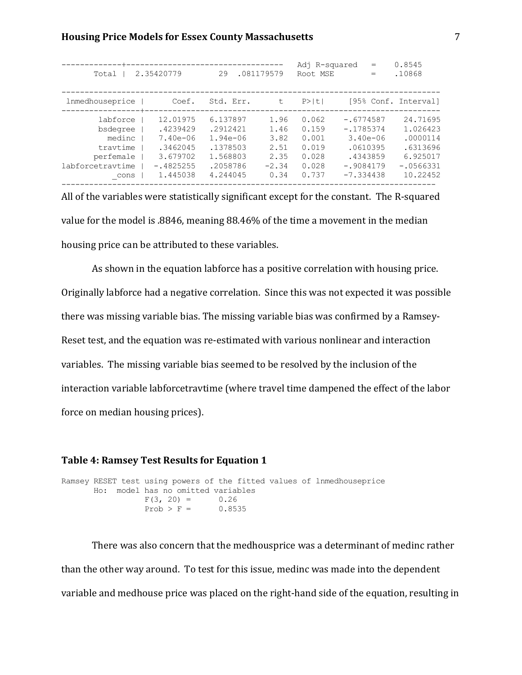| lnmedhouseprice<br>Coef.<br>Std. Err.<br>$P>$  t <br>t<br>12.01975<br>6.137897<br>1.96<br>0.062<br>labforce<br>.2912421<br>.4239429<br>1.46<br>0.159<br>bsdegree<br>3.82<br>0.001<br>medinc<br>$7.40e - 06$<br>1.94e-06<br>.1378503<br>0.019<br>travtime<br>.3462045<br>2.51<br>1.568803 | 2.35420779<br>Total   | .081179579<br>29 | Root MSE                                                          | .10868<br>$=$                                                                                                               |
|------------------------------------------------------------------------------------------------------------------------------------------------------------------------------------------------------------------------------------------------------------------------------------------|-----------------------|------------------|-------------------------------------------------------------------|-----------------------------------------------------------------------------------------------------------------------------|
|                                                                                                                                                                                                                                                                                          |                       |                  |                                                                   | [95% Conf. Interval]                                                                                                        |
| $-.4825255$<br>.2058786<br>0.028<br>labforcetravtime<br>$-2.34$<br>1.445038<br>4.244045<br>0.34<br>0.737<br>cons                                                                                                                                                                         | 3.679702<br>perfemale | 2.35             | $-.6774587$<br>$-.1785374$<br>0.028<br>$-.9084179$<br>$-7.334438$ | 24.71695<br>1.026423<br>$3.40e - 06$<br>.0000114<br>.6313696<br>.0610395<br>6.925017<br>.4343859<br>$-.0566331$<br>10.22452 |

All of the variables were statistically significant except for the constant. The R-squared value for the model is .8846, meaning 88.46% of the time a movement in the median housing price can be attributed to these variables.

As shown in the equation labforce has a positive correlation with housing price. Originally labforce had a negative correlation. Since this was not expected it was possible there was missing variable bias. The missing variable bias was confirmed by a Ramsey-Reset test, and the equation was re-estimated with various nonlinear and interaction variables. The missing variable bias seemed to be resolved by the inclusion of the interaction variable labforcetravtime (where travel time dampened the effect of the labor force on median housing prices).

## **Table 4: Ramsey Test Results for Equation 1**

```
Ramsey RESET test using powers of the fitted values of lnmedhouseprice
      Ho: model has no omitted variables
F(3, 20) = 0.26Prob > F = 0.8535
```
There was also concern that the medhousprice was a determinant of medinc rather than the other way around. To test for this issue, medinc was made into the dependent variable and medhouse price was placed on the right-hand side of the equation, resulting in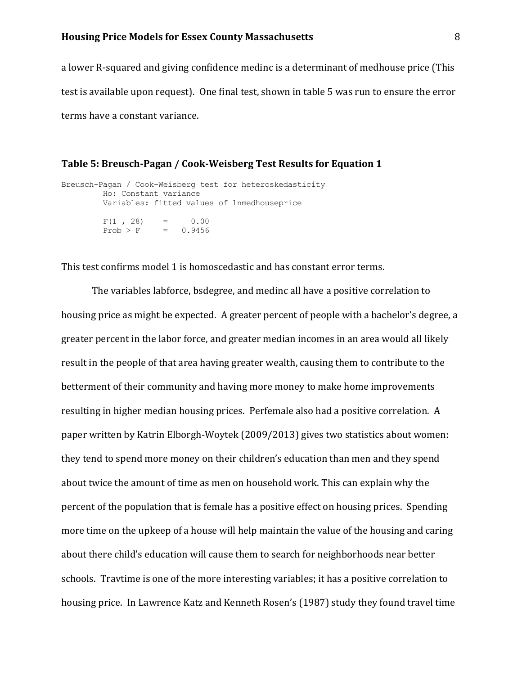a lower R-squared and giving confidence medinc is a determinant of medhouse price (This test is available upon request). One final test, shown in table 5 was run to ensure the error terms have a constant variance.

### **Table 5: Breusch-Pagan / Cook-Weisberg Test Results for Equation 1**

```
Breusch-Pagan / Cook-Weisberg test for heteroskedasticity 
        Ho: Constant variance
        Variables: fitted values of lnmedhouseprice
F(1, 28) = 0.00Prob > F = 0.9456
```
This test confirms model 1 is homoscedastic and has constant error terms.

The variables labforce, bsdegree, and medinc all have a positive correlation to housing price as might be expected. A greater percent of people with a bachelor's degree, a greater percent in the labor force, and greater median incomes in an area would all likely result in the people of that area having greater wealth, causing them to contribute to the betterment of their community and having more money to make home improvements resulting in higher median housing prices. Perfemale also had a positive correlation. A paper written by Katrin Elborgh-Woytek (2009/2013) gives two statistics about women: they tend to spend more money on their children's education than men and they spend about twice the amount of time as men on household work. This can explain why the percent of the population that is female has a positive effect on housing prices. Spending more time on the upkeep of a house will help maintain the value of the housing and caring about there child's education will cause them to search for neighborhoods near better schools. Travtime is one of the more interesting variables; it has a positive correlation to housing price. In Lawrence Katz and Kenneth Rosen's (1987) study they found travel time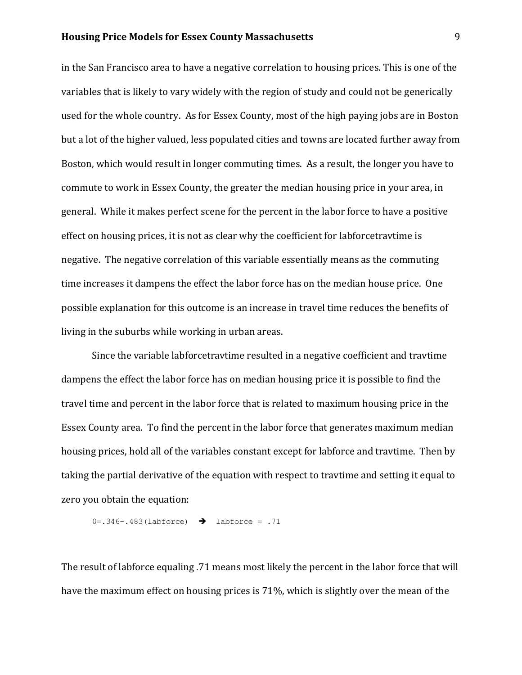in the San Francisco area to have a negative correlation to housing prices. This is one of the variables that is likely to vary widely with the region of study and could not be generically used for the whole country. As for Essex County, most of the high paying jobs are in Boston but a lot of the higher valued, less populated cities and towns are located further away from Boston, which would result in longer commuting times. As a result, the longer you have to commute to work in Essex County, the greater the median housing price in your area, in general. While it makes perfect scene for the percent in the labor force to have a positive effect on housing prices, it is not as clear why the coefficient for labforcetravtime is negative. The negative correlation of this variable essentially means as the commuting time increases it dampens the effect the labor force has on the median house price. One possible explanation for this outcome is an increase in travel time reduces the benefits of living in the suburbs while working in urban areas.

Since the variable labforcetravtime resulted in a negative coefficient and travtime dampens the effect the labor force has on median housing price it is possible to find the travel time and percent in the labor force that is related to maximum housing price in the Essex County area. To find the percent in the labor force that generates maximum median housing prices, hold all of the variables constant except for labforce and travtime. Then by taking the partial derivative of the equation with respect to travtime and setting it equal to zero you obtain the equation:

$$
0=.346-.483(labforce) \rightarrow labforce=.71
$$

The result of labforce equaling .71 means most likely the percent in the labor force that will have the maximum effect on housing prices is 71%, which is slightly over the mean of the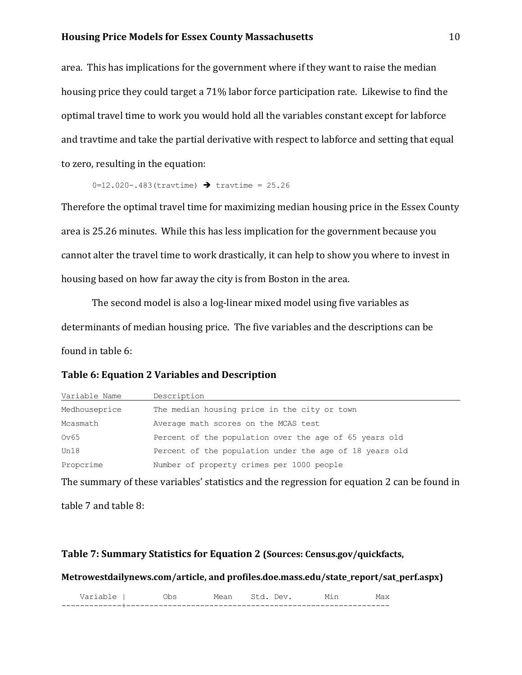area. This has implications for the government where if they want to raise the median housing price they could target a 71% labor force participation rate. Likewise to find the optimal travel time to work you would hold all the variables constant except for labforce and travtime and take the partial derivative with respect to labforce and setting that equal to zero, resulting in the equation:

```
0=12.020 - .483(travtime) \rightarrow travtime = 25.26
```
Therefore the optimal travel time for maximizing median housing price in the Essex County area is 25.26 minutes. While this has less implication for the government because you cannot alter the travel time to work drastically, it can help to show you where to invest in housing based on how far away the city is from Boston in the area.

The second model is also a log-linear mixed model using five variables as determinants of median housing price. The five variables and the descriptions can be found in table 6:

# **Table 6: Equation 2 Variables and Description**

| Variable Name | Description                                             |
|---------------|---------------------------------------------------------|
| Medhouseprice | The median housing price in the city or town            |
| Mcasmath      | Average math scores on the MCAS test                    |
| Ov65          | Percent of the population over the age of 65 years old  |
| Un18          | Percent of the population under the age of 18 years old |
| Proporime     | Number of property crimes per 1000 people               |

The summary of these variables' statistics and the regression for equation 2 can be found in

table 7 and table 8:

## **Table 7: Summary Statistics for Equation 2 (Sources: Census.gov/quickfacts,**

**Metrowestdailynews.com/article, and profiles.doe.mass.edu/state\_report/sat\_perf.aspx)**

Variable | Obs Mean Std. Dev. Min Max -------------+---------------------------------------------------------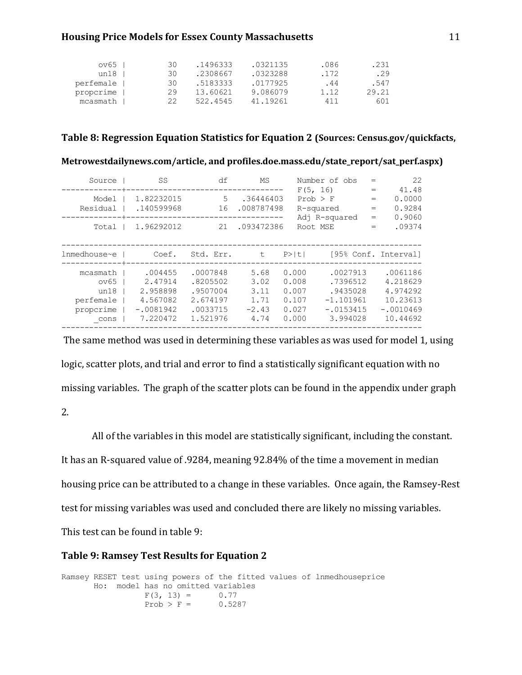| $ov65$    | 30. | .1496333 | .0321135 | .086 | .231  |
|-----------|-----|----------|----------|------|-------|
| un18      | 30  | .2308667 | .0323288 | .172 | .29   |
| perfemale | 30. | .5183333 | .0177925 | .44  | .547  |
| proporime | 29  | 13.60621 | 9.086079 | 1.12 | 29.21 |
| mcasmath  | フフ  | 522.4545 | 41.19261 | 411  | 601   |

## **Table 8: Regression Equation Statistics for Equation 2 (Sources: Census.gov/quickfacts,**

### **Metrowestdailynews.com/article, and profiles.doe.mass.edu/state\_report/sat\_perf.aspx)**

| Source                                                     | SS                                                                    | df                                                                   | MS                                              | Number of obs                                          |                                                                            | $=$                      | 22                                                                      |
|------------------------------------------------------------|-----------------------------------------------------------------------|----------------------------------------------------------------------|-------------------------------------------------|--------------------------------------------------------|----------------------------------------------------------------------------|--------------------------|-------------------------------------------------------------------------|
| Model<br>Residual                                          | 1.82232015<br>.140599968                                              | 16                                                                   | 5.36446403<br>.008787498                        | F(5, 16)<br>$Prob$ > $F$<br>R-squared<br>Adj R-squared |                                                                            | $=$<br>$=$<br>$=$<br>$=$ | 41.48<br>0.0000<br>0.9284<br>0.9060                                     |
| Total                                                      | 1.96292012                                                            | 21                                                                   | .093472386                                      | Root MSE                                               |                                                                            | $=$                      | .09374                                                                  |
| lnmedhouse~e                                               | Coef.                                                                 | Std. Err.                                                            | t.                                              | $P>$  t                                                |                                                                            |                          | [95% Conf. Interval]                                                    |
| mcasmath<br>ov65<br>un18<br>perfemale<br>propcrime<br>cons | .004455<br>2.47914<br>2.958898<br>4.567082<br>$-.0081942$<br>7.220472 | .0007848<br>.8205502<br>.9507004<br>2.674197<br>.0033715<br>1.521976 | 5.68<br>3.02<br>3.11<br>1.71<br>$-2.43$<br>4.74 | 0.000<br>0.008<br>0.007<br>0.107<br>0.027<br>0.000     | .0027913<br>.7396512<br>.9435028<br>$-1.101961$<br>$-.0153415$<br>3.994028 |                          | .0061186<br>4.218629<br>4.974292<br>10.23613<br>$-.0010469$<br>10.44692 |

The same method was used in determining these variables as was used for model 1, using logic, scatter plots, and trial and error to find a statistically significant equation with no missing variables. The graph of the scatter plots can be found in the appendix under graph 2.

All of the variables in this model are statistically significant, including the constant. It has an R-squared value of .9284, meaning 92.84% of the time a movement in median housing price can be attributed to a change in these variables. Once again, the Ramsey-Rest test for missing variables was used and concluded there are likely no missing variables. This test can be found in table 9:

#### **Table 9: Ramsey Test Results for Equation 2**

```
Ramsey RESET test using powers of the fitted values of lnmedhouseprice
       Ho: model has no omitted variables
               F(3, 13) = 0.77Prob > F = 0.5287
```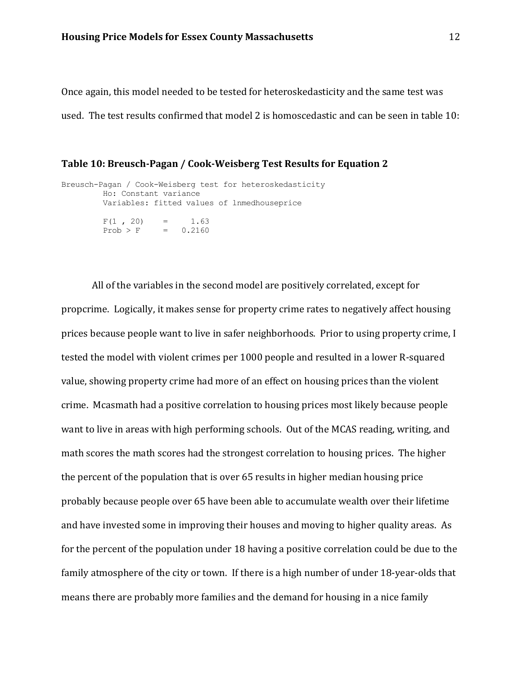Once again, this model needed to be tested for heteroskedasticity and the same test was used. The test results confirmed that model 2 is homoscedastic and can be seen in table 10:

## **Table 10: Breusch-Pagan / Cook-Weisberg Test Results for Equation 2**

```
Breusch-Pagan / Cook-Weisberg test for heteroskedasticity 
        Ho: Constant variance
        Variables: fitted values of lnmedhouseprice
F(1, 20) = 1.63Prob > F = 0.2160
```
All of the variables in the second model are positively correlated, except for propcrime. Logically, it makes sense for property crime rates to negatively affect housing prices because people want to live in safer neighborhoods. Prior to using property crime, I tested the model with violent crimes per 1000 people and resulted in a lower R-squared value, showing property crime had more of an effect on housing prices than the violent crime. Mcasmath had a positive correlation to housing prices most likely because people want to live in areas with high performing schools. Out of the MCAS reading, writing, and math scores the math scores had the strongest correlation to housing prices. The higher the percent of the population that is over 65 results in higher median housing price probably because people over 65 have been able to accumulate wealth over their lifetime and have invested some in improving their houses and moving to higher quality areas. As for the percent of the population under 18 having a positive correlation could be due to the family atmosphere of the city or town. If there is a high number of under 18-year-olds that means there are probably more families and the demand for housing in a nice family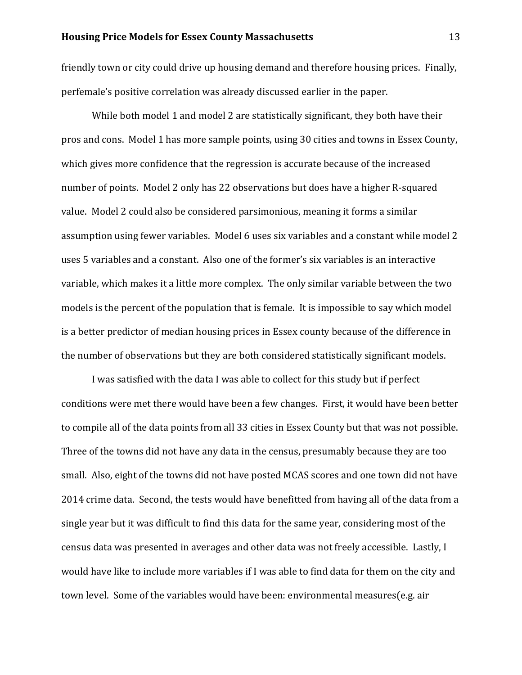friendly town or city could drive up housing demand and therefore housing prices. Finally, perfemale's positive correlation was already discussed earlier in the paper.

While both model 1 and model 2 are statistically significant, they both have their pros and cons. Model 1 has more sample points, using 30 cities and towns in Essex County, which gives more confidence that the regression is accurate because of the increased number of points. Model 2 only has 22 observations but does have a higher R-squared value. Model 2 could also be considered parsimonious, meaning it forms a similar assumption using fewer variables. Model 6 uses six variables and a constant while model 2 uses 5 variables and a constant. Also one of the former's six variables is an interactive variable, which makes it a little more complex. The only similar variable between the two models is the percent of the population that is female. It is impossible to say which model is a better predictor of median housing prices in Essex county because of the difference in the number of observations but they are both considered statistically significant models.

I was satisfied with the data I was able to collect for this study but if perfect conditions were met there would have been a few changes. First, it would have been better to compile all of the data points from all 33 cities in Essex County but that was not possible. Three of the towns did not have any data in the census, presumably because they are too small. Also, eight of the towns did not have posted MCAS scores and one town did not have 2014 crime data. Second, the tests would have benefitted from having all of the data from a single year but it was difficult to find this data for the same year, considering most of the census data was presented in averages and other data was not freely accessible. Lastly, I would have like to include more variables if I was able to find data for them on the city and town level. Some of the variables would have been: environmental measures(e.g. air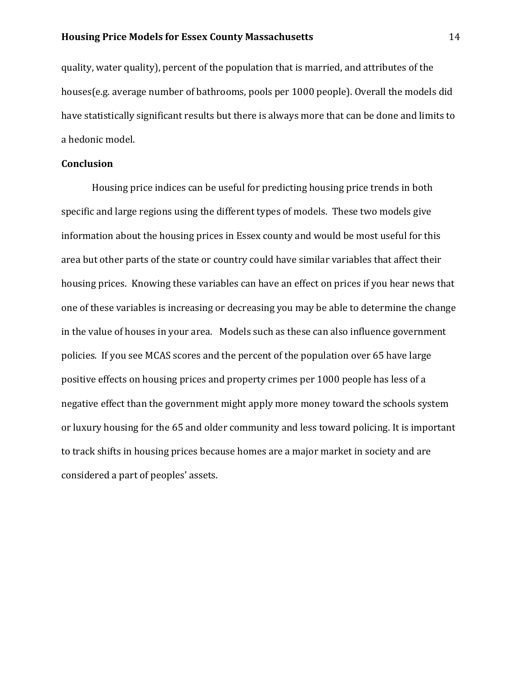quality, water quality), percent of the population that is married, and attributes of the houses(e.g. average number of bathrooms, pools per 1000 people). Overall the models did have statistically significant results but there is always more that can be done and limits to a hedonic model.

## **Conclusion**

Housing price indices can be useful for predicting housing price trends in both specific and large regions using the different types of models. These two models give information about the housing prices in Essex county and would be most useful for this area but other parts of the state or country could have similar variables that affect their housing prices. Knowing these variables can have an effect on prices if you hear news that one of these variables is increasing or decreasing you may be able to determine the change in the value of houses in your area. Models such as these can also influence government policies. If you see MCAS scores and the percent of the population over 65 have large positive effects on housing prices and property crimes per 1000 people has less of a negative effect than the government might apply more money toward the schools system or luxury housing for the 65 and older community and less toward policing. It is important to track shifts in housing prices because homes are a major market in society and are considered a part of peoples' assets.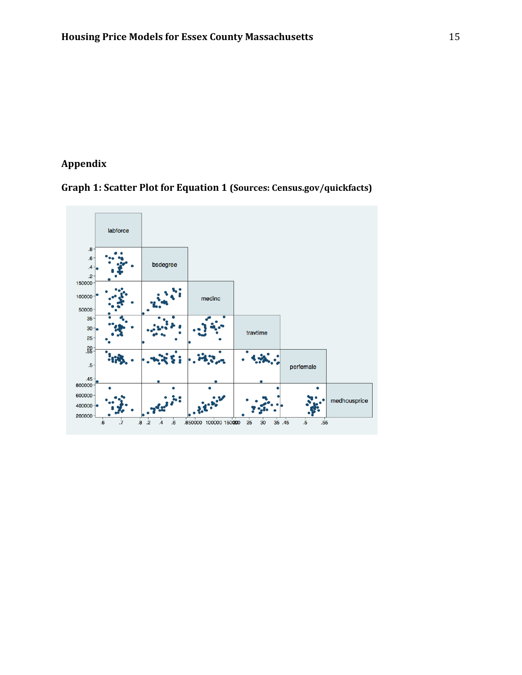# **Appendix**

# **Graph 1: Scatter Plot for Equation 1 (Sources: Census.gov/quickfacts)**

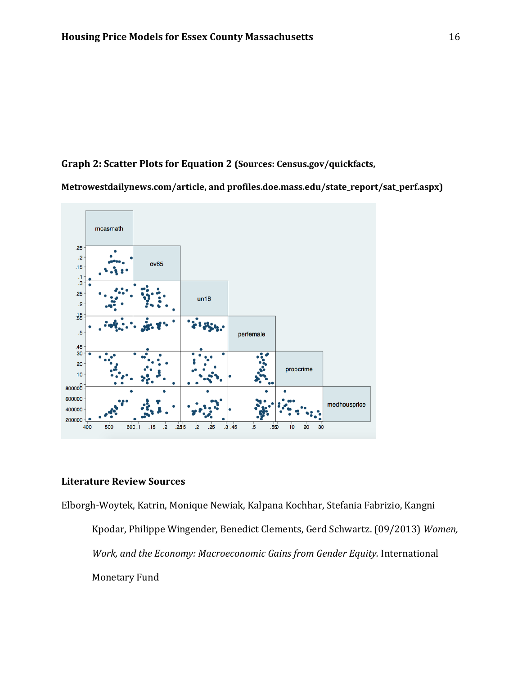# **Graph 2: Scatter Plots for Equation 2 (Sources: Census.gov/quickfacts,**

**Metrowestdailynews.com/article, and profiles.doe.mass.edu/state\_report/sat\_perf.aspx)**



# **Literature Review Sources**

Elborgh-Woytek, Katrin, Monique Newiak, Kalpana Kochhar, Stefania Fabrizio, Kangni Kpodar, Philippe Wingender, Benedict Clements, Gerd Schwartz. (09/2013) *Women, Work, and the Economy: Macroeconomic Gains from Gender Equity.* International Monetary Fund